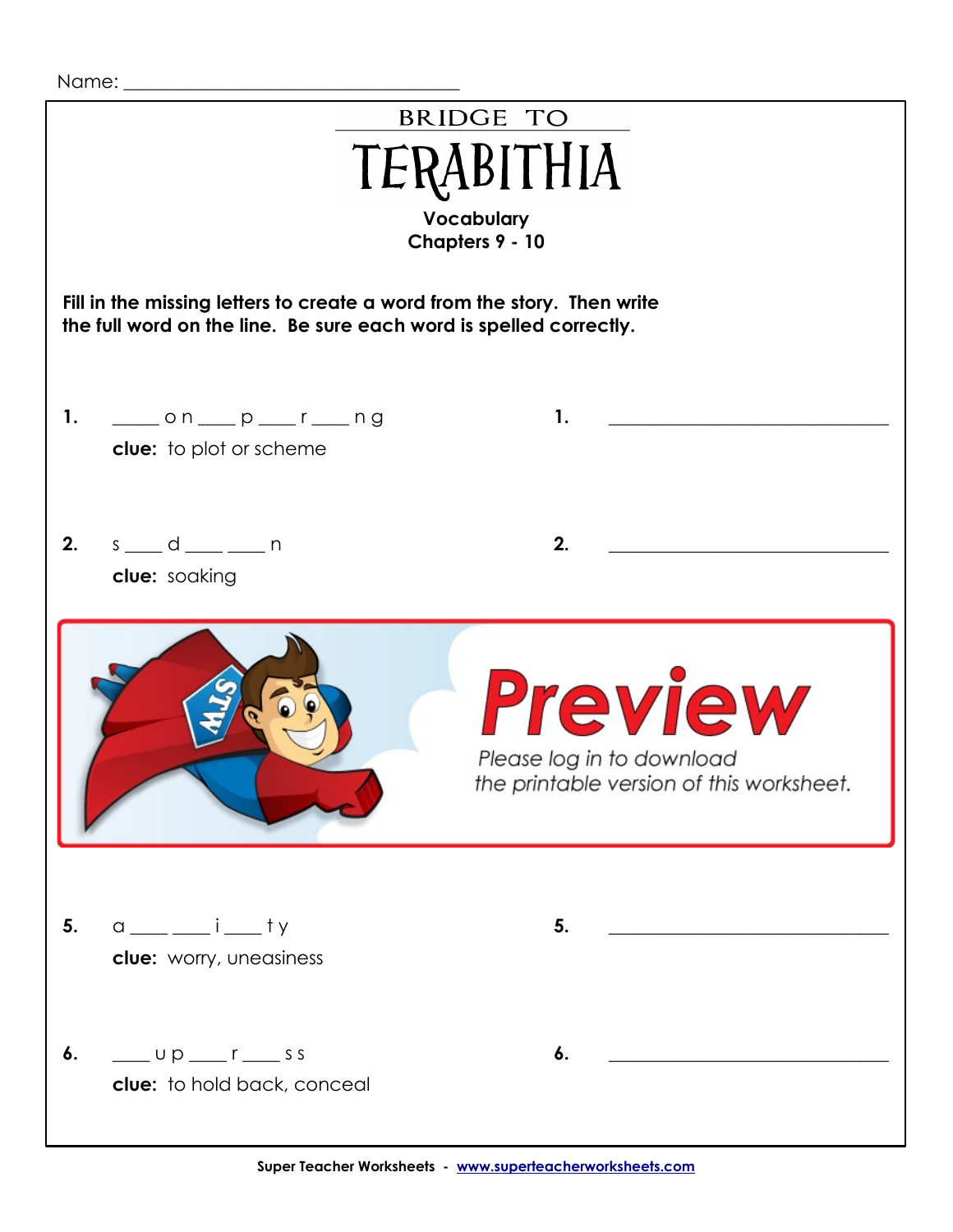